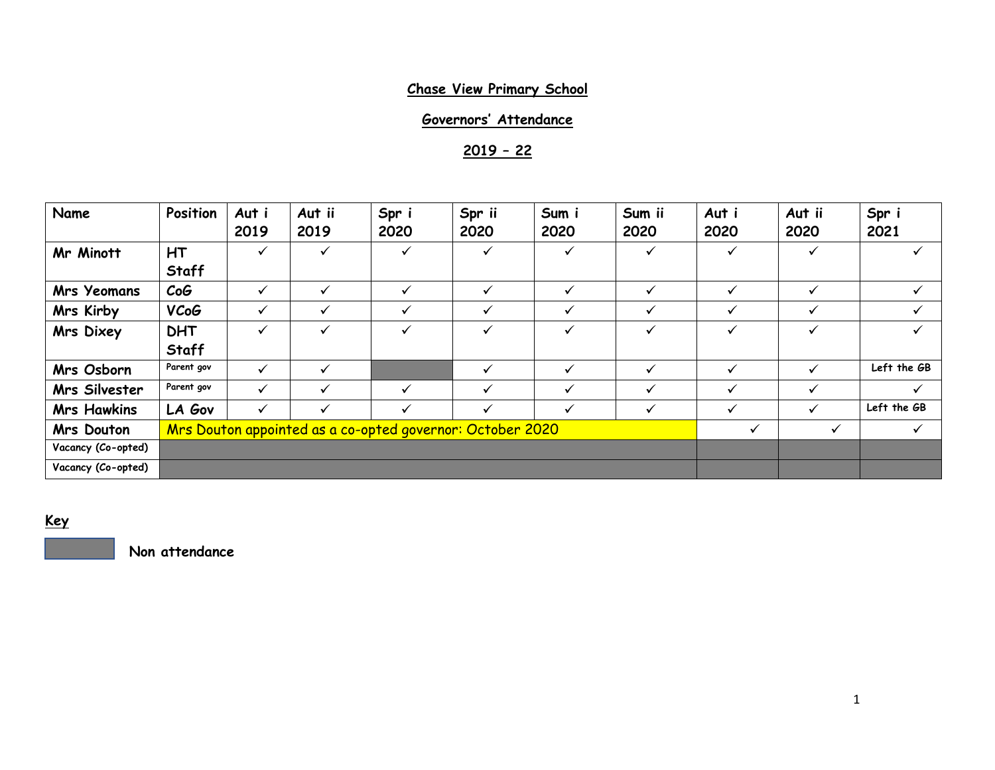# **Chase View Primary School**

# **Governors' Attendance**

**2019 – 22**

| Name               | Position                                                  | Aut i<br>2019 | Aut ii<br>2019 | Spr i<br>2020 | Spr ii<br>2020 | Sum i<br>2020 | Sum ii<br>2020 | Aut i<br>2020 | Aut ii<br>2020 | Spr i<br>2021 |
|--------------------|-----------------------------------------------------------|---------------|----------------|---------------|----------------|---------------|----------------|---------------|----------------|---------------|
| Mr Minott          | <b>HT</b><br>Staff                                        | ✓             | ✓              | ✓             | ✓              | ✓             | $\checkmark$   |               | ✓              |               |
| <b>Mrs Yeomans</b> | CoG                                                       | ✓             | ✓              | ✓             | ✓              | ✓             | $\checkmark$   | ✓             | ✓              | $\checkmark$  |
| Mrs Kirby          | <b>VCoG</b>                                               | ✓             | ✓              | ✓             | $\checkmark$   | ✓             | ✓              |               |                | $\checkmark$  |
| Mrs Dixey          | <b>DHT</b><br>Staff                                       | ✓             | $\checkmark$   | ✓             | $\checkmark$   | ✓             | $\checkmark$   | ✓             | ✓              | $\checkmark$  |
| Mrs Osborn         | Parent gov                                                | ✓             | ✓              |               | ✓              | ✓             | $\checkmark$   | ✓             |                | Left the GB   |
| Mrs Silvester      | Parent gov                                                | ✓             | ✓              | ✓             | $\checkmark$   | ✓             | $\checkmark$   | ✓             | ✓              | $\checkmark$  |
| <b>Mrs Hawkins</b> | LA Gov                                                    | ✓             | ✓              | ✓             | ✓              | ✓             | ✓              | ✓             | ✓              | Left the GB   |
| Mrs Douton         | Mrs Douton appointed as a co-opted governor: October 2020 |               |                |               |                |               |                | $\checkmark$  | $\checkmark$   | $\checkmark$  |
| Vacancy (Co-opted) |                                                           |               |                |               |                |               |                |               |                |               |
| Vacancy (Co-opted) |                                                           |               |                |               |                |               |                |               |                |               |

**Key**

**Non attendance**